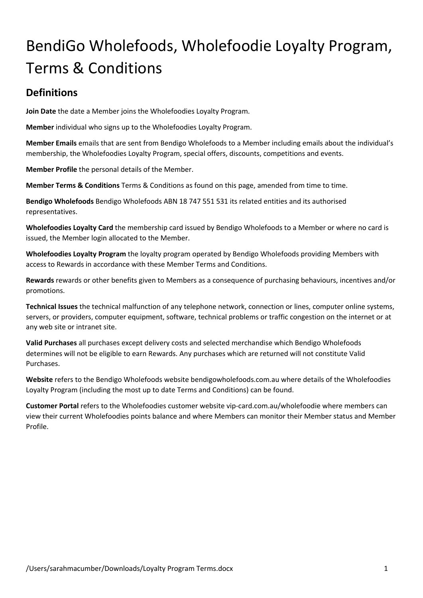# BendiGo Wholefoods, Wholefoodie Loyalty Program, Terms & Conditions

#### **Definitions**

**Join Date** the date a Member joins the Wholefoodies Loyalty Program.

**Member** individual who signs up to the Wholefoodies Loyalty Program.

**Member Emails** emails that are sent from Bendigo Wholefoods to a Member including emails about the individual's membership, the Wholefoodies Loyalty Program, special offers, discounts, competitions and events.

**Member Profile** the personal details of the Member.

**Member Terms & Conditions** Terms & Conditions as found on this page, amended from time to time.

**Bendigo Wholefoods** Bendigo Wholefoods ABN 18 747 551 531 its related entities and its authorised representatives.

**Wholefoodies Loyalty Card** the membership card issued by Bendigo Wholefoods to a Member or where no card is issued, the Member login allocated to the Member.

**Wholefoodies Loyalty Program** the loyalty program operated by Bendigo Wholefoods providing Members with access to Rewards in accordance with these Member Terms and Conditions.

**Rewards** rewards or other benefits given to Members as a consequence of purchasing behaviours, incentives and/or promotions.

**Technical Issues** the technical malfunction of any telephone network, connection or lines, computer online systems, servers, or providers, computer equipment, software, technical problems or traffic congestion on the internet or at any web site or intranet site.

**Valid Purchases** all purchases except delivery costs and selected merchandise which Bendigo Wholefoods determines will not be eligible to earn Rewards. Any purchases which are returned will not constitute Valid Purchases.

**Website** refers to the Bendigo Wholefoods website bendigowholefoods.com.au where details of the Wholefoodies Loyalty Program (including the most up to date Terms and Conditions) can be found.

**Customer Portal** refers to the Wholefoodies customer website vip-card.com.au/wholefoodie where members can view their current Wholefoodies points balance and where Members can monitor their Member status and Member Profile.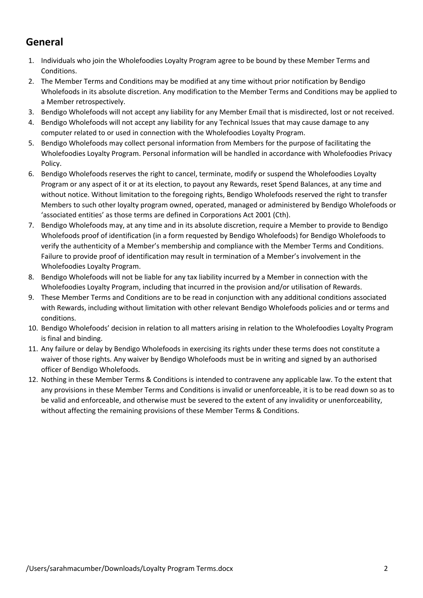#### **General**

- 1. Individuals who join the Wholefoodies Loyalty Program agree to be bound by these Member Terms and Conditions.
- 2. The Member Terms and Conditions may be modified at any time without prior notification by Bendigo Wholefoods in its absolute discretion. Any modification to the Member Terms and Conditions may be applied to a Member retrospectively.
- 3. Bendigo Wholefoods will not accept any liability for any Member Email that is misdirected, lost or not received.
- 4. Bendigo Wholefoods will not accept any liability for any Technical Issues that may cause damage to any computer related to or used in connection with the Wholefoodies Loyalty Program.
- 5. Bendigo Wholefoods may collect personal information from Members for the purpose of facilitating the Wholefoodies Loyalty Program. Personal information will be handled in accordance with Wholefoodies Privacy Policy.
- 6. Bendigo Wholefoods reserves the right to cancel, terminate, modify or suspend the Wholefoodies Loyalty Program or any aspect of it or at its election, to payout any Rewards, reset Spend Balances, at any time and without notice. Without limitation to the foregoing rights, Bendigo Wholefoods reserved the right to transfer Members to such other loyalty program owned, operated, managed or administered by Bendigo Wholefoods or 'associated entities' as those terms are defined in Corporations Act 2001 (Cth).
- 7. Bendigo Wholefoods may, at any time and in its absolute discretion, require a Member to provide to Bendigo Wholefoods proof of identification (in a form requested by Bendigo Wholefoods) for Bendigo Wholefoods to verify the authenticity of a Member's membership and compliance with the Member Terms and Conditions. Failure to provide proof of identification may result in termination of a Member's involvement in the Wholefoodies Loyalty Program.
- 8. Bendigo Wholefoods will not be liable for any tax liability incurred by a Member in connection with the Wholefoodies Loyalty Program, including that incurred in the provision and/or utilisation of Rewards.
- 9. These Member Terms and Conditions are to be read in conjunction with any additional conditions associated with Rewards, including without limitation with other relevant Bendigo Wholefoods policies and or terms and conditions.
- 10. Bendigo Wholefoods' decision in relation to all matters arising in relation to the Wholefoodies Loyalty Program is final and binding.
- 11. Any failure or delay by Bendigo Wholefoods in exercising its rights under these terms does not constitute a waiver of those rights. Any waiver by Bendigo Wholefoods must be in writing and signed by an authorised officer of Bendigo Wholefoods.
- 12. Nothing in these Member Terms & Conditions is intended to contravene any applicable law. To the extent that any provisions in these Member Terms and Conditions is invalid or unenforceable, it is to be read down so as to be valid and enforceable, and otherwise must be severed to the extent of any invalidity or unenforceability, without affecting the remaining provisions of these Member Terms & Conditions.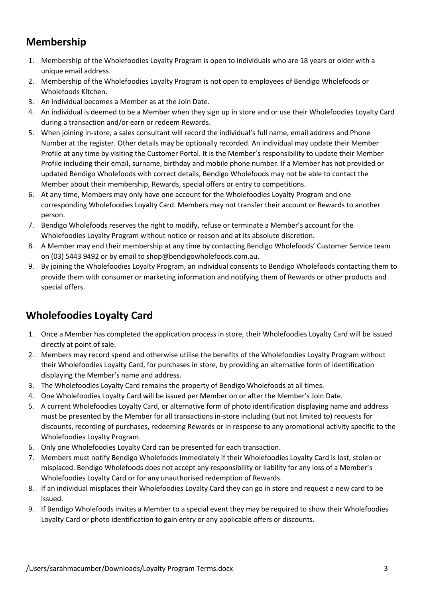## **Membership**

- 1. Membership of the Wholefoodies Loyalty Program is open to individuals who are 18 years or older with a unique email address.
- 2. Membership of the Wholefoodies Loyalty Program is not open to employees of Bendigo Wholefoods or Wholefoods Kitchen.
- 3. An individual becomes a Member as at the Join Date.
- 4. An individual is deemed to be a Member when they sign up in store and or use their Wholefoodies Loyalty Card during a transaction and/or earn or redeem Rewards.
- 5. When joining in-store, a sales consultant will record the individual's full name, email address and Phone Number at the register. Other details may be optionally recorded. An individual may update their Member Profile at any time by visiting the Customer Portal. It is the Member's responsibility to update their Member Profile including their email, surname, birthday and mobile phone number. If a Member has not provided or updated Bendigo Wholefoods with correct details, Bendigo Wholefoods may not be able to contact the Member about their membership, Rewards, special offers or entry to competitions.
- 6. At any time, Members may only have one account for the Wholefoodies Loyalty Program and one corresponding Wholefoodies Loyalty Card. Members may not transfer their account or Rewards to another person.
- 7. Bendigo Wholefoods reserves the right to modify, refuse or terminate a Member's account for the Wholefoodies Loyalty Program without notice or reason and at its absolute discretion.
- 8. A Member may end their membership at any time by contacting Bendigo Wholefoods' Customer Service team on (03) 5443 9492 or by email to shop@bendigowholefoods.com.au.
- 9. By joining the Wholefoodies Loyalty Program, an individual consents to Bendigo Wholefoods contacting them to provide them with consumer or marketing information and notifying them of Rewards or other products and special offers.

# **Wholefoodies Loyalty Card**

- 1. Once a Member has completed the application process in store, their Wholefoodies Loyalty Card will be issued directly at point of sale.
- 2. Members may record spend and otherwise utilise the benefits of the Wholefoodies Loyalty Program without their Wholefoodies Loyalty Card, for purchases in store, by providing an alternative form of identification displaying the Member's name and address.
- 3. The Wholefoodies Loyalty Card remains the property of Bendigo Wholefoods at all times.
- 4. One Wholefoodies Loyalty Card will be issued per Member on or after the Member's Join Date.
- 5. A current Wholefoodies Loyalty Card, or alternative form of photo identification displaying name and address must be presented by the Member for all transactions in-store including (but not limited to) requests for discounts, recording of purchases, redeeming Rewards or in response to any promotional activity specific to the Wholefoodies Loyalty Program.
- 6. Only one Wholefoodies Loyalty Card can be presented for each transaction.
- 7. Members must notify Bendigo Wholefoods immediately if their Wholefoodies Loyalty Card is lost, stolen or misplaced. Bendigo Wholefoods does not accept any responsibility or liability for any loss of a Member's Wholefoodies Loyalty Card or for any unauthorised redemption of Rewards.
- 8. If an individual misplaces their Wholefoodies Loyalty Card they can go in store and request a new card to be issued.
- 9. If Bendigo Wholefoods invites a Member to a special event they may be required to show their Wholefoodies Loyalty Card or photo identification to gain entry or any applicable offers or discounts.